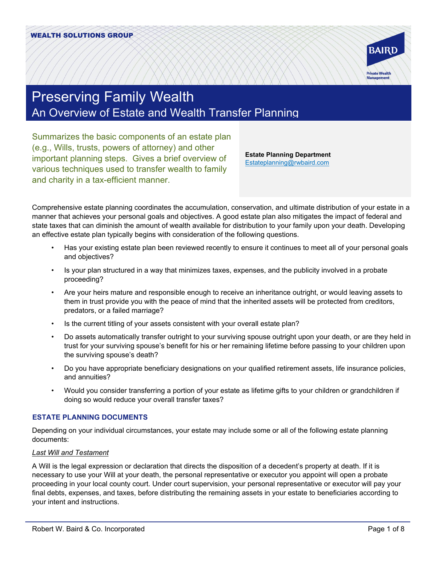

# Preserving Family Wealth An Overview of Estate and Wealth Transfer Planning

Summarizes the basic components of an estate plan (e.g., Wills, trusts, powers of attorney) and other important planning steps. Gives a brief overview of various techniques used to transfer wealth to family and charity in a tax-efficient manner.

**Estate Planning Department** [Estateplanning@rwbaird.com](mailto:Estateplanning@rwbaird.com)

Comprehensive estate planning coordinates the accumulation, conservation, and ultimate distribution of your estate in a manner that achieves your personal goals and objectives. A good estate plan also mitigates the impact of federal and state taxes that can diminish the amount of wealth available for distribution to your family upon your death. Developing an effective estate plan typically begins with consideration of the following questions.

- Has your existing estate plan been reviewed recently to ensure it continues to meet all of your personal goals and objectives?
- Is your plan structured in a way that minimizes taxes, expenses, and the publicity involved in a probate proceeding?
- Are your heirs mature and responsible enough to receive an inheritance outright, or would leaving assets to them in trust provide you with the peace of mind that the inherited assets will be protected from creditors, predators, or a failed marriage?
- Is the current titling of your assets consistent with your overall estate plan?
- Do assets automatically transfer outright to your surviving spouse outright upon your death, or are they held in trust for your surviving spouse's benefit for his or her remaining lifetime before passing to your children upon the surviving spouse's death?
- Do you have appropriate beneficiary designations on your qualified retirement assets, life insurance policies, and annuities?
- Would you consider transferring a portion of your estate as lifetime gifts to your children or grandchildren if doing so would reduce your overall transfer taxes?

# **ESTATE PLANNING DOCUMENTS**

Depending on your individual circumstances, your estate may include some or all of the following estate planning documents:

## *Last Will and Testament*

A Will is the legal expression or declaration that directs the disposition of a decedent's property at death. If it is necessary to use your Will at your death, the personal representative or executor you appoint will open a probate proceeding in your local county court. Under court supervision, your personal representative or executor will pay your final debts, expenses, and taxes, before distributing the remaining assets in your estate to beneficiaries according to your intent and instructions.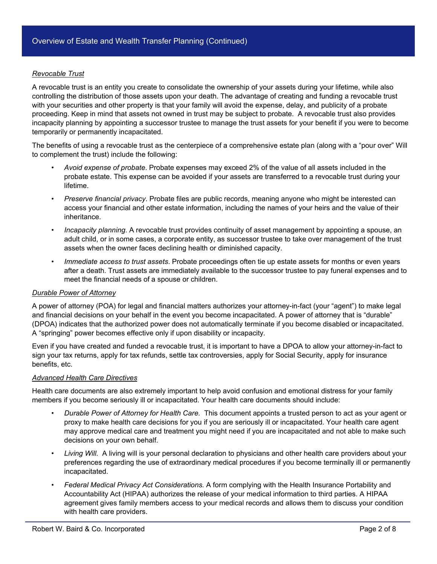#### *Revocable Trust*

A revocable trust is an entity you create to consolidate the ownership of your assets during your lifetime, while also controlling the distribution of those assets upon your death. The advantage of creating and funding a revocable trust with your securities and other property is that your family will avoid the expense, delay, and publicity of a probate proceeding. Keep in mind that assets not owned in trust may be subject to probate. A revocable trust also provides incapacity planning by appointing a successor trustee to manage the trust assets for your benefit if you were to become temporarily or permanently incapacitated.

The benefits of using a revocable trust as the centerpiece of a comprehensive estate plan (along with a "pour over" Will to complement the trust) include the following:

- *Avoid expense of probate*. Probate expenses may exceed 2% of the value of all assets included in the probate estate. This expense can be avoided if your assets are transferred to a revocable trust during your lifetime.
- *Preserve financial privacy*. Probate files are public records, meaning anyone who might be interested can access your financial and other estate information, including the names of your heirs and the value of their inheritance.
- *Incapacity planning*. A revocable trust provides continuity of asset management by appointing a spouse, an adult child, or in some cases, a corporate entity, as successor trustee to take over management of the trust assets when the owner faces declining health or diminished capacity.
- *Immediate access to trust assets*. Probate proceedings often tie up estate assets for months or even years after a death. Trust assets are immediately available to the successor trustee to pay funeral expenses and to meet the financial needs of a spouse or children.

#### *Durable Power of Attorney*

A power of attorney (POA) for legal and financial matters authorizes your attorney-in-fact (your "agent") to make legal and financial decisions on your behalf in the event you become incapacitated. A power of attorney that is "durable" (DPOA) indicates that the authorized power does not automatically terminate if you become disabled or incapacitated. A "springing" power becomes effective only if upon disability or incapacity.

Even if you have created and funded a revocable trust, it is important to have a DPOA to allow your attorney-in-fact to sign your tax returns, apply for tax refunds, settle tax controversies, apply for Social Security, apply for insurance benefits, etc.

#### *Advanced Health Care Directives*

Health care documents are also extremely important to help avoid confusion and emotional distress for your family members if you become seriously ill or incapacitated. Your health care documents should include:

- *Durable Power of Attorney for Health Care.* This document appoints a trusted person to act as your agent or proxy to make health care decisions for you if you are seriously ill or incapacitated. Your health care agent may approve medical care and treatment you might need if you are incapacitated and not able to make such decisions on your own behalf.
- *Living Will.* A living will is your personal declaration to physicians and other health care providers about your preferences regarding the use of extraordinary medical procedures if you become terminally ill or permanently incapacitated.
- *Federal Medical Privacy Act Considerations.* A form complying with the Health Insurance Portability and Accountability Act (HIPAA) authorizes the release of your medical information to third parties. A HIPAA agreement gives family members access to your medical records and allows them to discuss your condition with health care providers.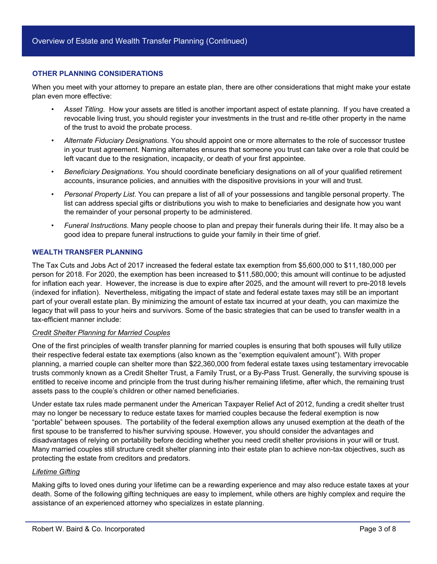#### **OTHER PLANNING CONSIDERATIONS**

When you meet with your attorney to prepare an estate plan, there are other considerations that might make your estate plan even more effective:

- *Asset Titling*. How your assets are titled is another important aspect of estate planning. If you have created a revocable living trust, you should register your investments in the trust and re-title other property in the name of the trust to avoid the probate process.
- *Alternate Fiduciary Designations*. You should appoint one or more alternates to the role of successor trustee in your trust agreement. Naming alternates ensures that someone you trust can take over a role that could be left vacant due to the resignation, incapacity, or death of your first appointee.
- *Beneficiary Designations*. You should coordinate beneficiary designations on all of your qualified retirement accounts, insurance policies, and annuities with the dispositive provisions in your will and trust.
- *Personal Property List*. You can prepare a list of all of your possessions and tangible personal property. The list can address special gifts or distributions you wish to make to beneficiaries and designate how you want the remainder of your personal property to be administered.
- *Funeral Instructions*. Many people choose to plan and prepay their funerals during their life. It may also be a good idea to prepare funeral instructions to guide your family in their time of grief.

#### **WEALTH TRANSFER PLANNING**

The Tax Cuts and Jobs Act of 2017 increased the federal estate tax exemption from \$5,600,000 to \$11,180,000 per person for 2018. For 2020, the exemption has been increased to \$11,580,000; this amount will continue to be adjusted for inflation each year. However, the increase is due to expire after 2025, and the amount will revert to pre-2018 levels (indexed for inflation). Nevertheless, mitigating the impact of state and federal estate taxes may still be an important part of your overall estate plan. By minimizing the amount of estate tax incurred at your death, you can maximize the legacy that will pass to your heirs and survivors. Some of the basic strategies that can be used to transfer wealth in a tax-efficient manner include:

#### *Credit Shelter Planning for Married Couples*

One of the first principles of wealth transfer planning for married couples is ensuring that both spouses will fully utilize their respective federal estate tax exemptions (also known as the "exemption equivalent amount"). With proper planning, a married couple can shelter more than \$22,360,000 from federal estate taxes using testamentary irrevocable trusts commonly known as a Credit Shelter Trust, a Family Trust, or a By-Pass Trust. Generally, the surviving spouse is entitled to receive income and principle from the trust during his/her remaining lifetime, after which, the remaining trust assets pass to the couple's children or other named beneficiaries.

Under estate tax rules made permanent under the American Taxpayer Relief Act of 2012, funding a credit shelter trust may no longer be necessary to reduce estate taxes for married couples because the federal exemption is now "portable" between spouses. The portability of the federal exemption allows any unused exemption at the death of the first spouse to be transferred to his/her surviving spouse. However, you should consider the advantages and disadvantages of relying on portability before deciding whether you need credit shelter provisions in your will or trust. Many married couples still structure credit shelter planning into their estate plan to achieve non-tax objectives, such as protecting the estate from creditors and predators.

#### *Lifetime Gifting*

Making gifts to loved ones during your lifetime can be a rewarding experience and may also reduce estate taxes at your death. Some of the following gifting techniques are easy to implement, while others are highly complex and require the assistance of an experienced attorney who specializes in estate planning.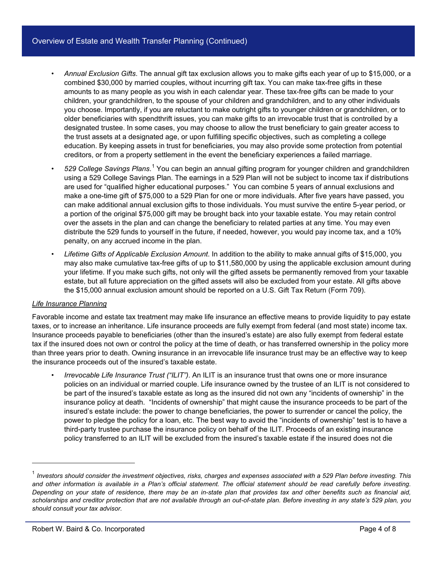# Overview of Estate and Wealth Transfer Planning (Continued)

- *Annual Exclusion Gifts*. The annual gift tax exclusion allows you to make gifts each year of up to \$15,000, or a combined \$30,000 by married couples, without incurring gift tax. You can make tax-free gifts in these amounts to as many people as you wish in each calendar year. These tax-free gifts can be made to your children, your grandchildren, to the spouse of your children and grandchildren, and to any other individuals you choose. Importantly, if you are reluctant to make outright gifts to younger children or grandchildren, or to older beneficiaries with spendthrift issues, you can make gifts to an irrevocable trust that is controlled by a designated trustee. In some cases, you may choose to allow the trust beneficiary to gain greater access to the trust assets at a designated age, or upon fulfilling specific objectives, such as completing a college education. By keeping assets in trust for beneficiaries, you may also provide some protection from potential creditors, or from a property settlement in the event the beneficiary experiences a failed marriage.
- *529 College Savings Plans*. [1](#page-3-0) You can begin an annual gifting program for younger children and grandchildren using a 529 College Savings Plan. The earnings in a 529 Plan will not be subject to income tax if distributions are used for "qualified higher educational purposes." You can combine 5 years of annual exclusions and make a one-time gift of \$75,000 to a 529 Plan for one or more individuals. After five years have passed, you can make additional annual exclusion gifts to those individuals. You must survive the entire 5-year period, or a portion of the original \$75,000 gift may be brought back into your taxable estate. You may retain control over the assets in the plan and can change the beneficiary to related parties at any time. You may even distribute the 529 funds to yourself in the future, if needed, however, you would pay income tax, and a 10% penalty, on any accrued income in the plan.
- *Lifetime Gifts of Applicable Exclusion Amount*. In addition to the ability to make annual gifts of \$15,000, you may also make cumulative tax-free gifts of up to \$11,580,000 by using the applicable exclusion amount during your lifetime. If you make such gifts, not only will the gifted assets be permanently removed from your taxable estate, but all future appreciation on the gifted assets will also be excluded from your estate. All gifts above the \$15,000 annual exclusion amount should be reported on a U.S. Gift Tax Return (Form 709).

## *Life Insurance Planning*

j

Favorable income and estate tax treatment may make life insurance an effective means to provide liquidity to pay estate taxes, or to increase an inheritance. Life insurance proceeds are fully exempt from federal (and most state) income tax. Insurance proceeds payable to beneficiaries (other than the insured's estate) are also fully exempt from federal estate tax if the insured does not own or control the policy at the time of death, or has transferred ownership in the policy more than three years prior to death. Owning insurance in an irrevocable life insurance trust may be an effective way to keep the insurance proceeds out of the insured's taxable estate.

• *Irrevocable Life Insurance Trust ("ILIT")*. An ILIT is an insurance trust that owns one or more insurance policies on an individual or married couple. Life insurance owned by the trustee of an ILIT is not considered to be part of the insured's taxable estate as long as the insured did not own any "incidents of ownership" in the insurance policy at death. "Incidents of ownership" that might cause the insurance proceeds to be part of the insured's estate include: the power to change beneficiaries, the power to surrender or cancel the policy, the power to pledge the policy for a loan, etc. The best way to avoid the "incidents of ownership" test is to have a third-party trustee purchase the insurance policy on behalf of the ILIT. Proceeds of an existing insurance policy transferred to an ILIT will be excluded from the insured's taxable estate if the insured does not die

<span id="page-3-0"></span><sup>1</sup> *Investors should consider the investment objectives, risks, charges and expenses associated with a 529 Plan before investing. This and other information is available in a Plan's official statement. The official statement should be read carefully before investing. Depending on your state of residence, there may be an in-state plan that provides tax and other benefits such as financial aid, scholarships and creditor protection that are not available through an out-of-state plan. Before investing in any state's 529 plan, you should consult your tax advisor.*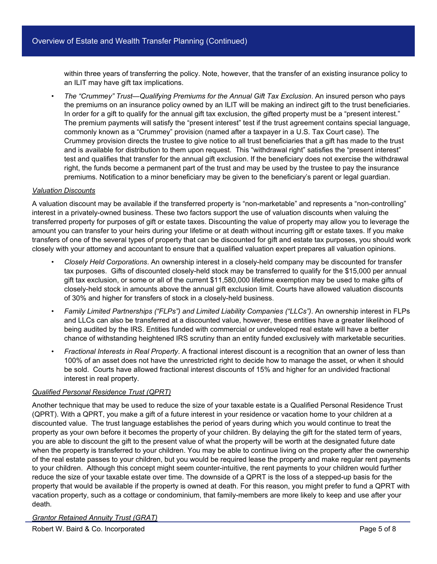within three years of transferring the policy. Note, however, that the transfer of an existing insurance policy to an ILIT may have gift tax implications.

• *The "Crummey" Trust—Qualifying Premiums for the Annual Gift Tax Exclusion*. An insured person who pays the premiums on an insurance policy owned by an ILIT will be making an indirect gift to the trust beneficiaries. In order for a gift to qualify for the annual gift tax exclusion, the gifted property must be a "present interest." The premium payments will satisfy the "present interest" test if the trust agreement contains special language, commonly known as a "Crummey" provision (named after a taxpayer in a U.S. Tax Court case). The Crummey provision directs the trustee to give notice to all trust beneficiaries that a gift has made to the trust and is available for distribution to them upon request. This "withdrawal right" satisfies the "present interest" test and qualifies that transfer for the annual gift exclusion. If the beneficiary does not exercise the withdrawal right, the funds become a permanent part of the trust and may be used by the trustee to pay the insurance premiums. Notification to a minor beneficiary may be given to the beneficiary's parent or legal guardian.

#### *Valuation Discounts*

A valuation discount may be available if the transferred property is "non-marketable" and represents a "non-controlling" interest in a privately-owned business. These two factors support the use of valuation discounts when valuing the transferred property for purposes of gift or estate taxes. Discounting the value of property may allow you to leverage the amount you can transfer to your heirs during your lifetime or at death without incurring gift or estate taxes. If you make transfers of one of the several types of property that can be discounted for gift and estate tax purposes, you should work closely with your attorney and accountant to ensure that a qualified valuation expert prepares all valuation opinions.

- *Closely Held Corporations*. An ownership interest in a closely-held company may be discounted for transfer tax purposes. Gifts of discounted closely-held stock may be transferred to qualify for the \$15,000 per annual gift tax exclusion, or some or all of the current \$11,580,000 lifetime exemption may be used to make gifts of closely-held stock in amounts above the annual gift exclusion limit. Courts have allowed valuation discounts of 30% and higher for transfers of stock in a closely-held business.
- *Family Limited Partnerships ("FLPs") and Limited Liability Companies ("LLCs")*. An ownership interest in FLPs and LLCs can also be transferred at a discounted value, however, these entities have a greater likelihood of being audited by the IRS. Entities funded with commercial or undeveloped real estate will have a better chance of withstanding heightened IRS scrutiny than an entity funded exclusively with marketable securities.
- *Fractional Interests in Real Property*. A fractional interest discount is a recognition that an owner of less than 100% of an asset does not have the unrestricted right to decide how to manage the asset, or when it should be sold. Courts have allowed fractional interest discounts of 15% and higher for an undivided fractional interest in real property.

## *Qualified Personal Residence Trust (QPRT)*

Another technique that may be used to reduce the size of your taxable estate is a Qualified Personal Residence Trust (QPRT). With a QPRT, you make a gift of a future interest in your residence or vacation home to your children at a discounted value. The trust language establishes the period of years during which you would continue to treat the property as your own before it becomes the property of your children. By delaying the gift for the stated term of years, you are able to discount the gift to the present value of what the property will be worth at the designated future date when the property is transferred to your children. You may be able to continue living on the property after the ownership of the real estate passes to your children, but you would be required lease the property and make regular rent payments to your children. Although this concept might seem counter-intuitive, the rent payments to your children would further reduce the size of your taxable estate over time. The downside of a QPRT is the loss of a stepped-up basis for the property that would be available if the property is owned at death. For this reason, you might prefer to fund a QPRT with vacation property, such as a cottage or condominium, that family-members are more likely to keep and use after your death*.*

## *Grantor Retained Annuity Trust (GRAT)*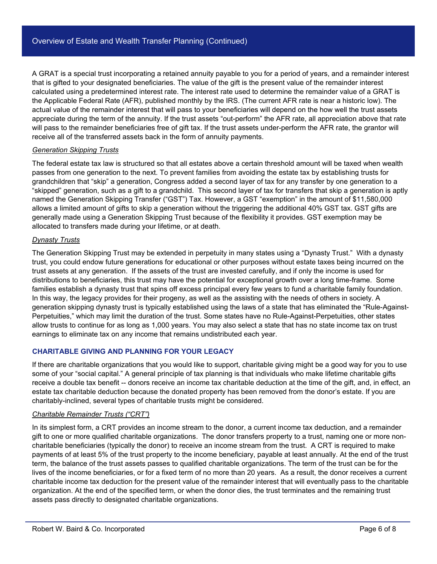A GRAT is a special trust incorporating a retained annuity payable to you for a period of years, and a remainder interest that is gifted to your designated beneficiaries. The value of the gift is the present value of the remainder interest calculated using a predetermined interest rate. The interest rate used to determine the remainder value of a GRAT is the Applicable Federal Rate (AFR), published monthly by the IRS. (The current AFR rate is near a historic low). The actual value of the remainder interest that will pass to your beneficiaries will depend on the how well the trust assets appreciate during the term of the annuity. If the trust assets "out-perform" the AFR rate, all appreciation above that rate will pass to the remainder beneficiaries free of gift tax. If the trust assets under-perform the AFR rate, the grantor will receive all of the transferred assets back in the form of annuity payments.

## *Generation Skipping Trusts*

The federal estate tax law is structured so that all estates above a certain threshold amount will be taxed when wealth passes from one generation to the next. To prevent families from avoiding the estate tax by establishing trusts for grandchildren that "skip" a generation, Congress added a second layer of tax for any transfer by one generation to a "skipped" generation, such as a gift to a grandchild. This second layer of tax for transfers that skip a generation is aptly named the Generation Skipping Transfer ("GST") Tax. However, a GST "exemption" in the amount of \$11,580,000 allows a limited amount of gifts to skip a generation without the triggering the additional 40% GST tax. GST gifts are generally made using a Generation Skipping Trust because of the flexibility it provides. GST exemption may be allocated to transfers made during your lifetime, or at death.

#### *Dynasty Trusts*

The Generation Skipping Trust may be extended in perpetuity in many states using a "Dynasty Trust." With a dynasty trust, you could endow future generations for educational or other purposes without estate taxes being incurred on the trust assets at any generation. If the assets of the trust are invested carefully, and if only the income is used for distributions to beneficiaries, this trust may have the potential for exceptional growth over a long time-frame. Some families establish a dynasty trust that spins off excess principal every few years to fund a charitable family foundation. In this way, the legacy provides for their progeny, as well as the assisting with the needs of others in society. A generation skipping dynasty trust is typically established using the laws of a state that has eliminated the "Rule-Against-Perpetuities," which may limit the duration of the trust. Some states have no Rule-Against-Perpetuities, other states allow trusts to continue for as long as 1,000 years. You may also select a state that has no state income tax on trust earnings to eliminate tax on any income that remains undistributed each year.

## **CHARITABLE GIVING AND PLANNING FOR YOUR LEGACY**

If there are charitable organizations that you would like to support, charitable giving might be a good way for you to use some of your "social capital." A general principle of tax planning is that individuals who make lifetime charitable gifts receive a double tax benefit -- donors receive an income tax charitable deduction at the time of the gift, and, in effect, an estate tax charitable deduction because the donated property has been removed from the donor's estate. If you are charitably-inclined, several types of charitable trusts might be considered.

#### *Charitable Remainder Trusts ("CRT")*

In its simplest form, a CRT provides an income stream to the donor, a current income tax deduction, and a remainder gift to one or more qualified charitable organizations. The donor transfers property to a trust, naming one or more noncharitable beneficiaries (typically the donor) to receive an income stream from the trust. A CRT is required to make payments of at least 5% of the trust property to the income beneficiary, payable at least annually. At the end of the trust term, the balance of the trust assets passes to qualified charitable organizations. The term of the trust can be for the lives of the income beneficiaries, or for a fixed term of no more than 20 years. As a result, the donor receives a current charitable income tax deduction for the present value of the remainder interest that will eventually pass to the charitable organization. At the end of the specified term, or when the donor dies, the trust terminates and the remaining trust assets pass directly to designated charitable organizations.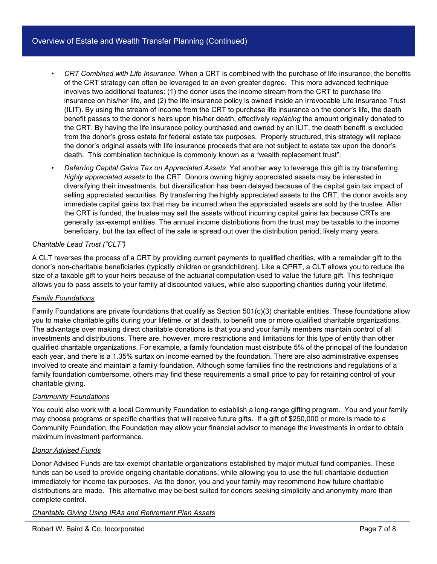- *CRT Combined with Life Insurance*. When a CRT is combined with the purchase of life insurance, the benefits of the CRT strategy can often be leveraged to an even greater degree. This more advanced technique involves two additional features: (1) the donor uses the income stream from the CRT to purchase life insurance on his/her life, and (2) the life insurance policy is owned inside an Irrevocable Life Insurance Trust (ILIT). By using the stream of income from the CRT to purchase life insurance on the donor's life, the death benefit passes to the donor's heirs upon his/her death, effectively *replacing* the amount originally donated to the CRT. By having the life insurance policy purchased and owned by an ILIT, the death benefit is excluded from the donor's gross estate for federal estate tax purposes. Properly structured, this strategy will replace the donor's original assets with life insurance proceeds that are not subject to estate tax upon the donor's death. This combination technique is commonly known as a "wealth replacement trust".
- *Deferring Capital Gains Tax on Appreciated Assets*. Yet another way to leverage this gift is by transferring *highly appreciated assets* to the CRT. Donors owning highly appreciated assets may be interested in diversifying their investments, but diversification has been delayed because of the capital gain tax impact of selling appreciated securities. By transferring the highly appreciated assets to the CRT, the donor avoids any immediate capital gains tax that may be incurred when the appreciated assets are sold by the trustee. After the CRT is funded, the trustee may sell the assets without incurring capital gains tax because CRTs are generally tax-exempt entities. The annual income distributions from the trust may be taxable to the income beneficiary, but the tax effect of the sale is spread out over the distribution period, likely many years.

# *Charitable Lead Trust ("CLT")*

A CLT reverses the process of a CRT by providing current payments to qualified charities, with a remainder gift to the donor's non-charitable beneficiaries (typically children or grandchildren). Like a QPRT, a CLT allows you to reduce the size of a taxable gift to your heirs because of the actuarial computation used to value the future gift. This technique allows you to pass assets to your family at discounted values, while also supporting charities during your lifetime.

## *Family Foundations*

Family Foundations are private foundations that qualify as Section 501(c)(3) charitable entities. These foundations allow you to make charitable gifts during your lifetime, or at death, to benefit one or more qualified charitable organizations. The advantage over making direct charitable donations is that you and your family members maintain control of all investments and distributions. There are, however, more restrictions and limitations for this type of entity than other qualified charitable organizations. For example, a family foundation must distribute 5% of the principal of the foundation each year, and there is a 1.35% surtax on income earned by the foundation. There are also administrative expenses involved to create and maintain a family foundation. Although some families find the restrictions and regulations of a family foundation cumbersome, others may find these requirements a small price to pay for retaining control of your charitable giving.

## *Community Foundations*

You could also work with a local Community Foundation to establish a long-range gifting program. You and your family may choose programs or specific charities that will receive future gifts. If a gift of \$250,000 or more is made to a Community Foundation, the Foundation may allow your financial advisor to manage the investments in order to obtain maximum investment performance.

## *Donor Advised Funds*

Donor Advised Funds are tax-exempt charitable organizations established by major mutual fund companies. These funds can be used to provide ongoing charitable donations, while allowing you to use the full charitable deduction immediately for income tax purposes. As the donor, you and your family may recommend how future charitable distributions are made. This alternative may be best suited for donors seeking simplicity and anonymity more than complete control.

## *Charitable Giving Using IRAs and Retirement Plan Assets*